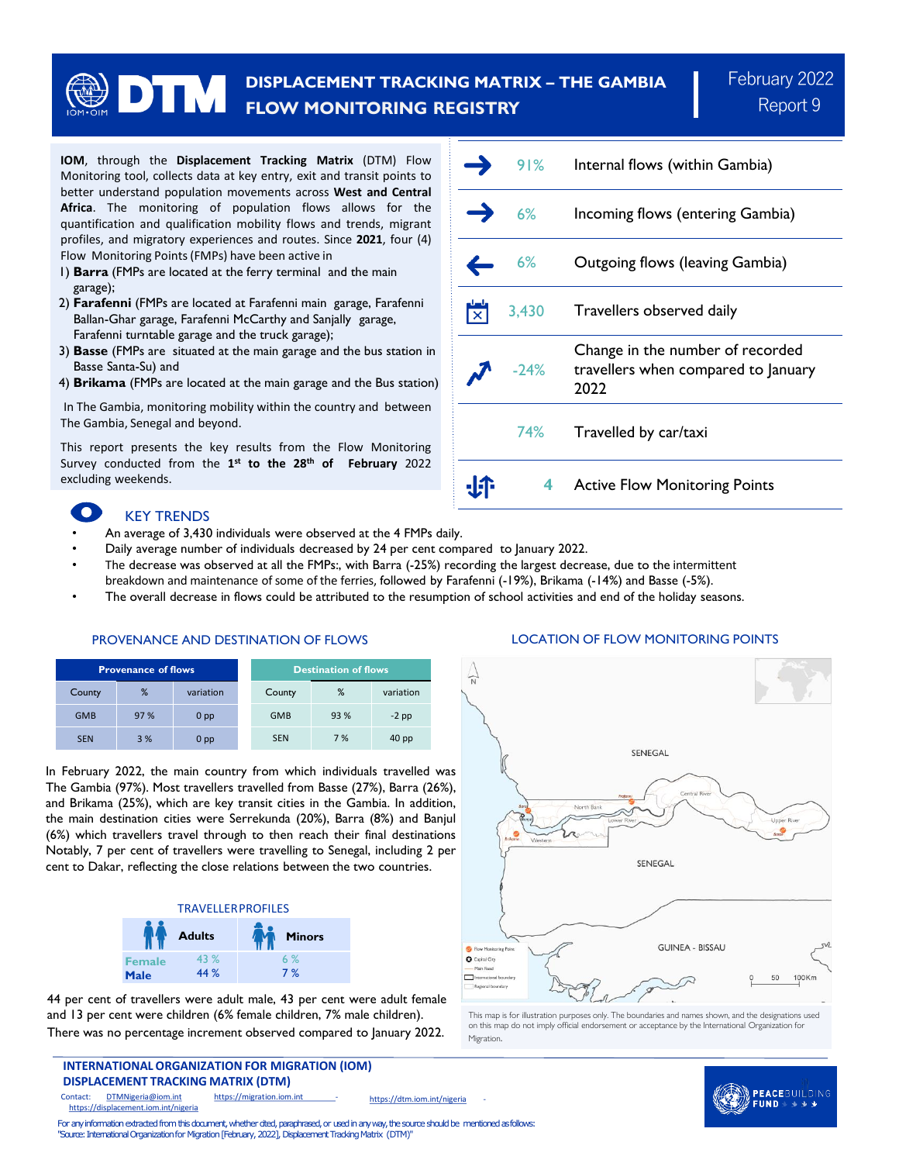# **DISPLACEMENT TRACKING MATRIX – THE GAMBIA FLOW MONITORING REGISTRY**

**IOM**, through the **Displacement Tracking Matrix** (DTM) Flow Monitoring tool, collects data at key entry, exit and transit points to better understand population movements across **West and Central Africa**. The monitoring of population flows allows for the quantification and qualification mobility flows and trends, migrant profiles, and migratory experiences and routes. Since **2021**, four (4) Flow Monitoring Points(FMPs) have been active in

- 1) **Barra** (FMPs are located at the ferry terminal and the main garage);
- 2) **Farafenni** (FMPs are located at Farafenni main garage, Farafenni Ballan-Ghar garage, Farafenni McCarthy and Sanjally garage, Farafenni turntable garage and the truck garage);
- 3) **Basse** (FMPs are situated at the main garage and the bus station in Basse Santa-Su) and
- 4) **Brikama** (FMPs are located at the main garage and the Bus station)

In The Gambia, monitoring mobility within the country and between The Gambia, Senegal and beyond.

This report presents the key results from the Flow Monitoring Survey conducted from the **1 st to the 28th of February** 2022 excluding weekends.

## KEY TRENDS

- An average of 3,430 individuals were observed at the 4 FMPs daily.
- Daily average number of individuals decreased by 24 per cent compared to January 2022.
- The decrease was observed at all the FMPs:, with Barra (-25%) recording the largest decrease, due to the intermittent
- breakdown and maintenance of some of the ferries, followed by Farafenni (-19%), Brikama (-14%) and Basse (-5%).
- The overall decrease in flows could be attributed to the resumption of school activities and end of the holiday seasons.

## PROVENANCE AND DESTINATION OF FLOWS

| <b>Provenance of flows</b> |     |                 | <b>Destination of flows</b> |      |                  |
|----------------------------|-----|-----------------|-----------------------------|------|------------------|
| County                     | %   | variation       | County                      | %    | variation        |
| <b>GMB</b>                 | 97% | 0 <sub>pp</sub> | <b>GMB</b>                  | 93 % | $-2$ pp          |
| <b>SEN</b>                 | 3%  | 0 <sub>pp</sub> | <b>SEN</b>                  | 7%   | 40 <sub>pp</sub> |

In February 2022, the main country from which individuals travelled was The Gambia (97%). Most travellers travelled from Basse (27%), Barra (26%), and Brikama (25%), which are key transit cities in the Gambia. In addition, the main destination cities were Serrekunda (20%), Barra (8%) and Banjul (6%) which travellers travel through to then reach their final destinations Notably, 7 per cent of travellers were travelling to Senegal, including 2 per cent to Dakar, reflecting the close relations between the two countries.



44 per cent of travellers were adult male, 43 per cent were adult female and 13 per cent were children (6% female children, 7% male children). There was no percentage increment observed compared to January 2022.

**INTERNATIONAL ORGANIZATION FOR MIGRATION (IOM) DISPLACEMENT TRACKING MATRIX (DTM)**

Contact: [DTMNigeria@iom.int](mailto:DTMNigeria@iom.int) https://migration.iom.int https://displacement.iom.int/nigeria [https://dtm.iom.int/nigeria](https://dtm.iom.int/mali)

91% Internal flows (within Gambia) 6% Incoming flows (entering Gambia) 6% Outgoing flows (leaving Gambia) اسا<br>الح 3,430 Travellers observed daily Change in the number of recorded -24% travellers when compared to January 2022 74% Travelled by car/taxi ·Ŀî· **4** Active Flow Monitoring Points

### LOCATION OF FLOW MONITORING POINTS



This map is for illustration purposes only. The boundaries and names shown, and the designations used on this map do not imply official endorsement or acceptance by the International Organization for Migration.



For any information extracted from this document, whether cited, paraphrased, or used in any way, the source should be mentioned as follows: "Source: International Organization for Migration [February, 2022], Displacement Tracking Matrix (DTM)"